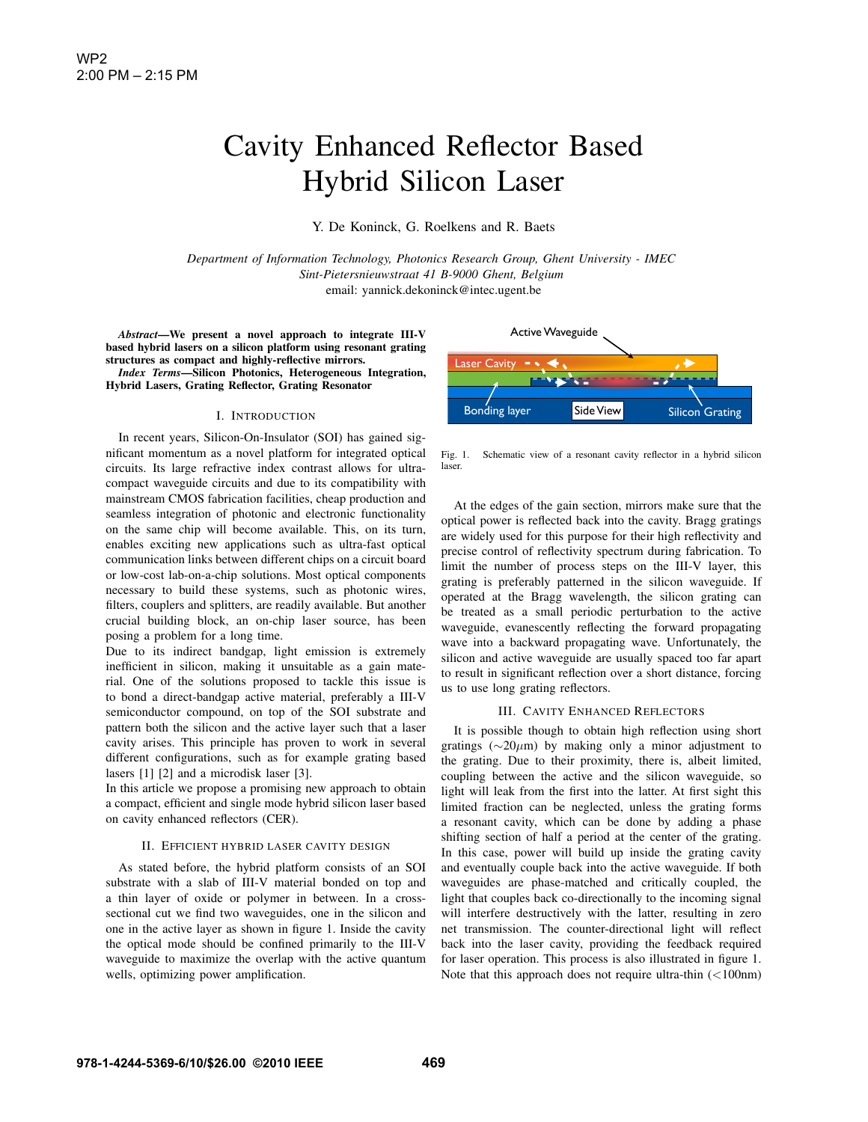# Cavity Enhanced Reflector Based Hybrid Silicon Laser

Y. De Koninck, G. Roelkens and R. Baets

*Department of Information Technology, Photonics Research Group, Ghent University - IMEC Sint-Pietersnieuwstraat 41 B-9000 Ghent, Belgium* email: yannick.dekoninck@intec.ugent.be

*Abstract*—We present a novel approach to integrate III-V based hybrid lasers on a silicon platform using resonant grating structures as compact and highly-reflective mirrors.

*Index Terms*—Silicon Photonics, Heterogeneous Integration, Hybrid Lasers, Grating Reflector, Grating Resonator

#### I. INTRODUCTION

In recent years, Silicon-On-Insulator (SOI) has gained significant momentum as a novel platform for integrated optical circuits. Its large refractive index contrast allows for ultracompact waveguide circuits and due to its compatibility with mainstream CMOS fabrication facilities, cheap production and seamless integration of photonic and electronic functionality on the same chip will become available. This, on its turn, enables exciting new applications such as ultra-fast optical communication links between different chips on a circuit board or low-cost lab-on-a-chip solutions. Most optical components necessary to build these systems, such as photonic wires, filters, couplers and splitters, are readily available. But another crucial building block, an on-chip laser source, has been posing a problem for a long time.

Due to its indirect bandgap, light emission is extremely inefficient in silicon, making it unsuitable as a gain material. One of the solutions proposed to tackle this issue is to bond a direct-bandgap active material, preferably a III-V semiconductor compound, on top of the SOI substrate and pattern both the silicon and the active layer such that a laser cavity arises. This principle has proven to work in several different configurations, such as for example grating based lasers [1] [2] and a microdisk laser [3].

In this article we propose a promising new approach to obtain a compact, efficient and single mode hybrid silicon laser based on cavity enhanced reflectors (CER).

### II. EFFICIENT HYBRID LASER CAVITY DESIGN

As stated before, the hybrid platform consists of an SOI substrate with a slab of III-V material bonded on top and a thin layer of oxide or polymer in between. In a crosssectional cut we find two waveguides, one in the silicon and one in the active layer as shown in figure 1. Inside the cavity the optical mode should be confined primarily to the III-V waveguide to maximize the overlap with the active quantum wells, optimizing power amplification.



Fig. 1. Schematic view of a resonant cavity reflector in a hybrid silicon laser.

At the edges of the gain section, mirrors make sure that the optical power is reflected back into the cavity. Bragg gratings are widely used for this purpose for their high reflectivity and precise control of reflectivity spectrum during fabrication. To limit the number of process steps on the III-V layer, this grating is preferably patterned in the silicon waveguide. If operated at the Bragg wavelength, the silicon grating can be treated as a small periodic perturbation to the active waveguide, evanescently reflecting the forward propagating wave into a backward propagating wave. Unfortunately, the silicon and active waveguide are usually spaced too far apart to result in significant reflection over a short distance, forcing us to use long grating reflectors.

## III. CAVITY ENHANCED REFLECTORS

It is possible though to obtain high reflection using short gratings ( $\sim$ 20 $\mu$ m) by making only a minor adjustment to the grating. Due to their proximity, there is, albeit limited, coupling between the active and the silicon waveguide, so light will leak from the first into the latter. At first sight this limited fraction can be neglected, unless the grating forms a resonant cavity, which can be done by adding a phase shifting section of half a period at the center of the grating. In this case, power will build up inside the grating cavity and eventually couple back into the active waveguide. If both waveguides are phase-matched and critically coupled, the light that couples back co-directionally to the incoming signal will interfere destructively with the latter, resulting in zero net transmission. The counter-directional light will reflect back into the laser cavity, providing the feedback required for laser operation. This process is also illustrated in figure 1. Note that this approach does not require ultra-thin (<100nm)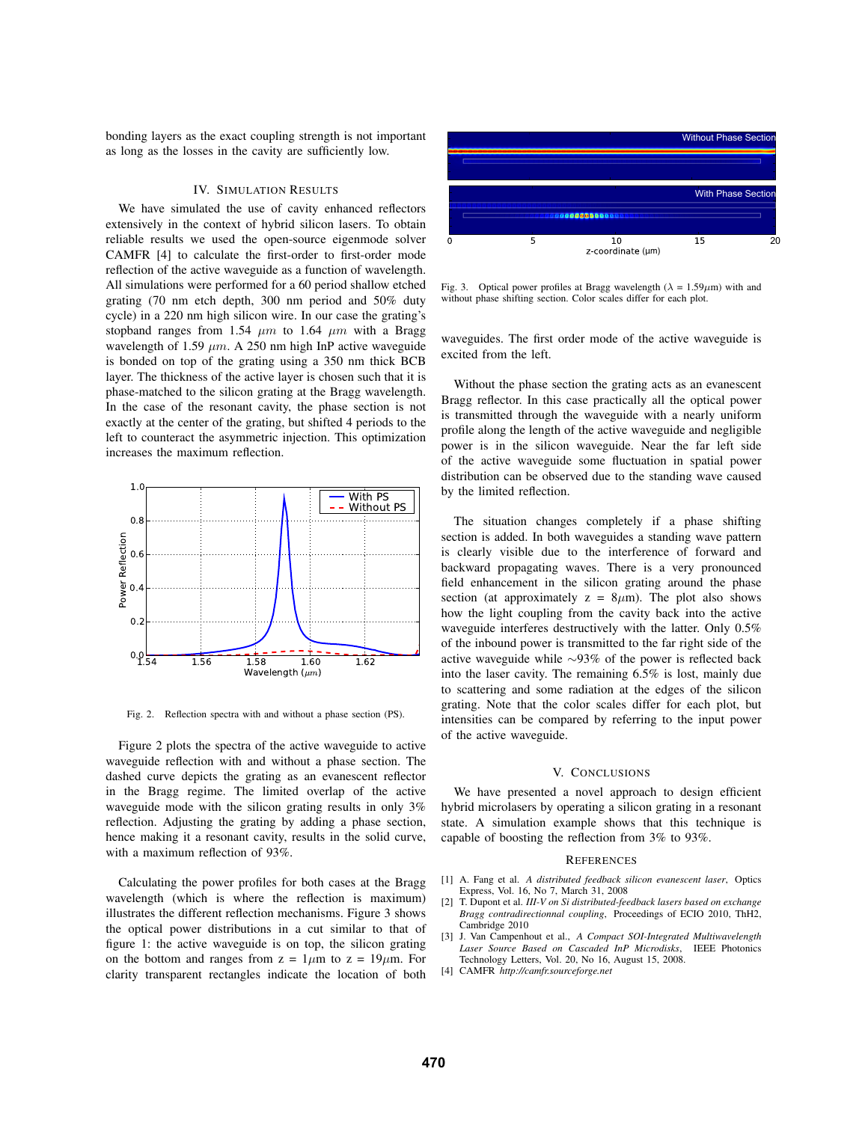bonding layers as the exact coupling strength is not important as long as the losses in the cavity are sufficiently low.

# IV. SIMULATION RESULTS

We have simulated the use of cavity enhanced reflectors extensively in the context of hybrid silicon lasers. To obtain reliable results we used the open-source eigenmode solver CAMFR [4] to calculate the first-order to first-order mode reflection of the active waveguide as a function of wavelength. All simulations were performed for a 60 period shallow etched grating (70 nm etch depth, 300 nm period and 50% duty cycle) in a 220 nm high silicon wire. In our case the grating's stopband ranges from 1.54  $\mu$ m to 1.64  $\mu$ m with a Bragg wavelength of 1.59  $\mu$ m. A 250 nm high InP active waveguide is bonded on top of the grating using a 350 nm thick BCB layer. The thickness of the active layer is chosen such that it is phase-matched to the silicon grating at the Bragg wavelength. In the case of the resonant cavity, the phase section is not exactly at the center of the grating, but shifted 4 periods to the left to counteract the asymmetric injection. This optimization increases the maximum reflection.



Fig. 2. Reflection spectra with and without a phase section (PS).

Figure 2 plots the spectra of the active waveguide to active waveguide reflection with and without a phase section. The dashed curve depicts the grating as an evanescent reflector in the Bragg regime. The limited overlap of the active waveguide mode with the silicon grating results in only 3% reflection. Adjusting the grating by adding a phase section, hence making it a resonant cavity, results in the solid curve, with a maximum reflection of 93%.

Calculating the power profiles for both cases at the Bragg wavelength (which is where the reflection is maximum) illustrates the different reflection mechanisms. Figure 3 shows the optical power distributions in a cut similar to that of figure 1: the active waveguide is on top, the silicon grating on the bottom and ranges from  $z = 1 \mu m$  to  $z = 19 \mu m$ . For clarity transparent rectangles indicate the location of both



Fig. 3. Optical power profiles at Bragg wavelength ( $\lambda = 1.59 \mu m$ ) with and without phase shifting section. Color scales differ for each plot.

waveguides. The first order mode of the active waveguide is excited from the left.

Without the phase section the grating acts as an evanescent Bragg reflector. In this case practically all the optical power is transmitted through the waveguide with a nearly uniform profile along the length of the active waveguide and negligible power is in the silicon waveguide. Near the far left side of the active waveguide some fluctuation in spatial power distribution can be observed due to the standing wave caused by the limited reflection.

The situation changes completely if a phase shifting section is added. In both waveguides a standing wave pattern is clearly visible due to the interference of forward and backward propagating waves. There is a very pronounced field enhancement in the silicon grating around the phase section (at approximately  $z = 8\mu$ m). The plot also shows how the light coupling from the cavity back into the active waveguide interferes destructively with the latter. Only 0.5% of the inbound power is transmitted to the far right side of the active waveguide while ∼93% of the power is reflected back into the laser cavity. The remaining 6.5% is lost, mainly due to scattering and some radiation at the edges of the silicon grating. Note that the color scales differ for each plot, but intensities can be compared by referring to the input power of the active waveguide.

# V. CONCLUSIONS

We have presented a novel approach to design efficient hybrid microlasers by operating a silicon grating in a resonant state. A simulation example shows that this technique is capable of boosting the reflection from 3% to 93%.

#### **REFERENCES**

- [1] A. Fang et al. *A distributed feedback silicon evanescent laser*, Optics Express, Vol. 16, No 7, March 31, 2008
- [2] T. Dupont et al. *III-V on Si distributed-feedback lasers based on exchange Bragg contradirectionnal coupling*, Proceedings of ECIO 2010, ThH2, Cambridge 2010
- [3] J. Van Campenhout et al., *A Compact SOI-Integrated Multiwavelength Laser Source Based on Cascaded InP Microdisks*, IEEE Photonics Technology Letters, Vol. 20, No 16, August 15, 2008.
- [4] CAMFR *http://camfr.sourceforge.net*